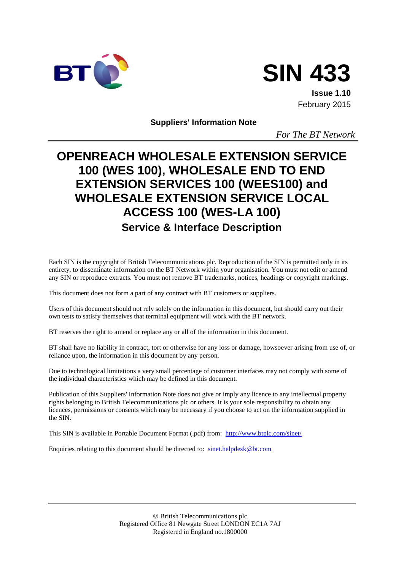



**Issue 1.10** February 2015

**Suppliers' Information Note**

*For The BT Network*

# **OPENREACH WHOLESALE EXTENSION SERVICE 100 (WES 100), WHOLESALE END TO END EXTENSION SERVICES 100 (WEES100) and WHOLESALE EXTENSION SERVICE LOCAL ACCESS 100 (WES-LA 100) Service & Interface Description**

Each SIN is the copyright of British Telecommunications plc. Reproduction of the SIN is permitted only in its entirety, to disseminate information on the BT Network within your organisation. You must not edit or amend any SIN or reproduce extracts. You must not remove BT trademarks, notices, headings or copyright markings.

This document does not form a part of any contract with BT customers or suppliers.

Users of this document should not rely solely on the information in this document, but should carry out their own tests to satisfy themselves that terminal equipment will work with the BT network.

BT reserves the right to amend or replace any or all of the information in this document.

BT shall have no liability in contract, tort or otherwise for any loss or damage, howsoever arising from use of, or reliance upon, the information in this document by any person.

Due to technological limitations a very small percentage of customer interfaces may not comply with some of the individual characteristics which may be defined in this document.

Publication of this Suppliers' Information Note does not give or imply any licence to any intellectual property rights belonging to British Telecommunications plc or others. It is your sole responsibility to obtain any licences, permissions or consents which may be necessary if you choose to act on the information supplied in the SIN.

This SIN is available in Portable Document Format (.pdf) from: <http://www.btplc.com/sinet/>

Enquiries relating to this document should be directed to: [sinet.helpdesk@bt.com](mailto:sinet.helpdesk@bt.com)

 British Telecommunications plc Registered Office 81 Newgate Street LONDON EC1A 7AJ Registered in England no.1800000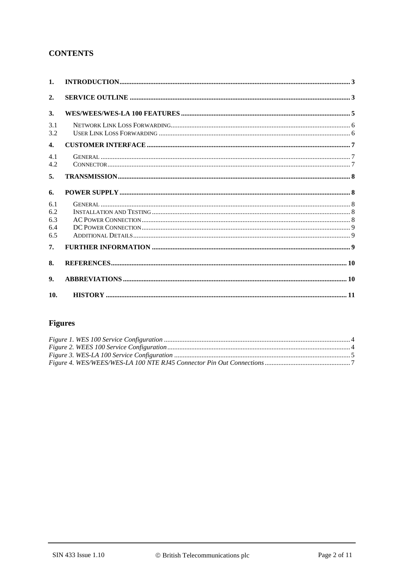# **CONTENTS**

| $\mathbf{1}$ .                  |  |
|---------------------------------|--|
| 2.                              |  |
| 3.                              |  |
| 3.1<br>3.2                      |  |
| 4.                              |  |
| 4.1<br>4.2                      |  |
| 5.                              |  |
| 6.                              |  |
| 6.1<br>6.2<br>6.3<br>6.4<br>6.5 |  |
| 7.                              |  |
| 8.                              |  |
| 9.                              |  |
| 10.                             |  |

# **Figures**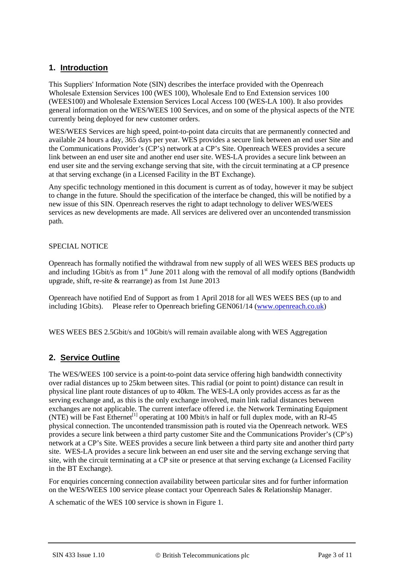# **1. Introduction**

This Suppliers' Information Note (SIN) describes the interface provided with the Openreach Wholesale Extension Services 100 (WES 100), Wholesale End to End Extension services 100 (WEES100) and Wholesale Extension Services Local Access 100 (WES-LA 100). It also provides general information on the WES/WEES 100 Services, and on some of the physical aspects of the NTE currently being deployed for new customer orders.

WES/WEES Services are high speed, point-to-point data circuits that are permanently connected and available 24 hours a day, 365 days per year. WES provides a secure link between an end user Site and the Communications Provider's (CP's) network at a CP's Site. Openreach WEES provides a secure link between an end user site and another end user site. WES-LA provides a secure link between an end user site and the serving exchange serving that site, with the circuit terminating at a CP presence at that serving exchange (in a Licensed Facility in the BT Exchange).

Any specific technology mentioned in this document is current as of today, however it may be subject to change in the future. Should the specification of the interface be changed, this will be notified by a new issue of this SIN. Openreach reserves the right to adapt technology to deliver WES/WEES services as new developments are made. All services are delivered over an uncontended transmission path.

#### SPECIAL NOTICE

Openreach has formally notified the withdrawal from new supply of all WES WEES BES products up and including 1Gbit/s as from  $1<sup>st</sup>$  June 2011 along with the removal of all modify options (Bandwidth upgrade, shift, re-site & rearrange) as from 1st June 2013

Openreach have notified End of Support as from 1 April 2018 for all WES WEES BES (up to and including 1Gbits). Please refer to Openreach briefing GEN061/14 [\(www.openreach.co.uk\)](http://www.openreach.co.uk/)

WES WEES BES 2.5Gbit/s and 10Gbit/s will remain available along with WES Aggregation

# **2. Service Outline**

The WES/WEES 100 service is a point-to-point data service offering high bandwidth connectivity over radial distances up to 25km between sites. This radial (or point to point) distance can result in physical line plant route distances of up to 40km. The WES-LA only provides access as far as the serving exchange and, as this is the only exchange involved, main link radial distances between exchanges are not applicable. The current interface offered i.e. the Network Terminating Equipment (NTE) will be Fast Ethernet<sup>[1]</sup> operating at 100 Mbit/s in half or full duplex mode, with an RJ-45 physical connection. The uncontended transmission path is routed via the Openreach network. WES provides a secure link between a third party customer Site and the Communications Provider's (CP's) network at a CP's Site. WEES provides a secure link between a third party site and another third party site. WES-LA provides a secure link between an end user site and the serving exchange serving that site, with the circuit terminating at a CP site or presence at that serving exchange (a Licensed Facility in the BT Exchange).

For enquiries concerning connection availability between particular sites and for further information on the WES/WEES 100 service please contact your Openreach Sales & Relationship Manager.

A schematic of the WES 100 service is shown in [Figure 1.](#page-3-0)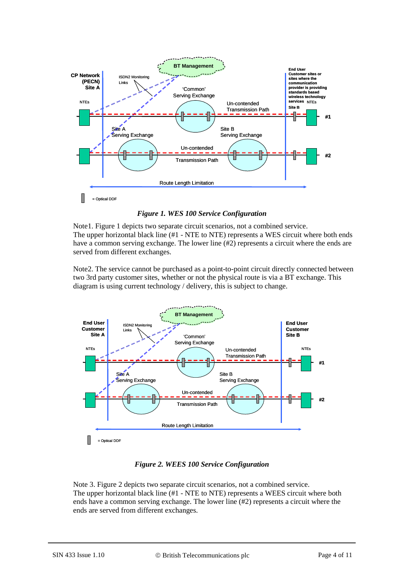

*Figure 1. WES 100 Service Configuration*

<span id="page-3-0"></span>Note1. [Figure 1](#page-3-0) depicts two separate circuit scenarios, not a combined service. The upper horizontal black line (#1 - NTE to NTE) represents a WES circuit where both ends have a common serving exchange. The lower line (#2) represents a circuit where the ends are served from different exchanges.

Note2. The service cannot be purchased as a point-to-point circuit directly connected between two 3rd party customer sites, whether or not the physical route is via a BT exchange. This diagram is using current technology / delivery, this is subject to change.



*Figure 2. WEES 100 Service Configuration*

<span id="page-3-1"></span>Note 3. [Figure 2](#page-3-1) depicts two separate circuit scenarios, not a combined service. The upper horizontal black line (#1 - NTE to NTE) represents a WEES circuit where both ends have a common serving exchange. The lower line (#2) represents a circuit where the ends are served from different exchanges.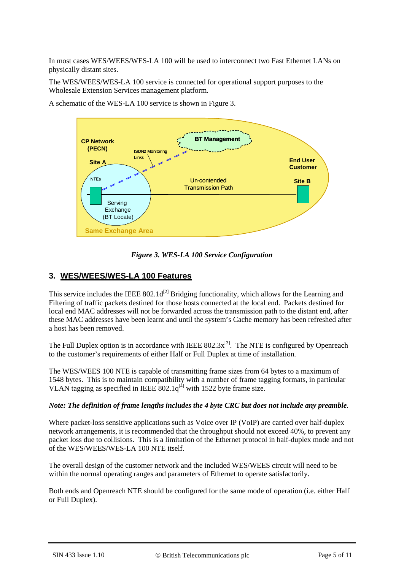In most cases WES/WEES/WES-LA 100 will be used to interconnect two Fast Ethernet LANs on physically distant sites.

The WES/WEES/WES-LA 100 service is connected for operational support purposes to the Wholesale Extension Services management platform.

A schematic of the WES-LA 100 service is shown in [Figure 3.](#page-4-0)



*Figure 3. WES-LA 100 Service Configuration*

#### <span id="page-4-0"></span>**3. WES/WEES/WES-LA 100 Features**

This service includes the IEEE  $802.1d^{[2]}$  Bridging functionality, which allows for the Learning and Filtering of traffic packets destined for those hosts connected at the local end. Packets destined for local end MAC addresses will not be forwarded across the transmission path to the distant end, after these MAC addresses have been learnt and until the system's Cache memory has been refreshed after a host has been removed.

The Full Duplex option is in accordance with IEEE  $802.3x^{[3]}$ . The NTE is configured by Openreach to the customer's requirements of either Half or Full Duplex at time of installation.

The WES/WEES 100 NTE is capable of transmitting frame sizes from 64 bytes to a maximum of 1548 bytes. This is to maintain compatibility with a number of frame tagging formats, in particular VLAN tagging as specified in IEEE  $802.1q^{[4]}$  with 1522 byte frame size.

#### *Note: The definition of frame lengths includes the 4 byte CRC but does not include any preamble.*

Where packet-loss sensitive applications such as Voice over IP (VoIP) are carried over half-duplex network arrangements, it is recommended that the throughput should not exceed 40%, to prevent any packet loss due to collisions. This is a limitation of the Ethernet protocol in half-duplex mode and not of the WES/WEES/WES-LA 100 NTE itself.

The overall design of the customer network and the included WES/WEES circuit will need to be within the normal operating ranges and parameters of Ethernet to operate satisfactorily.

Both ends and Openreach NTE should be configured for the same mode of operation (i.e. either Half or Full Duplex).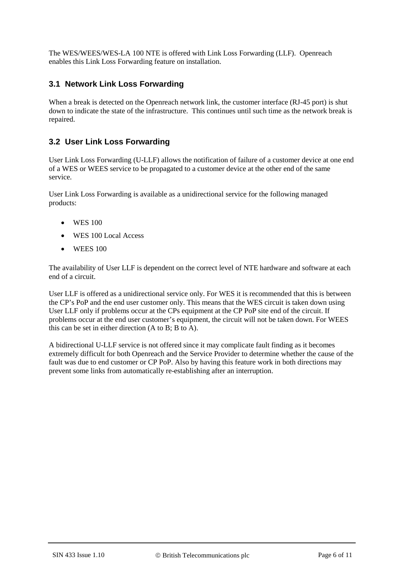The WES/WEES/WES-LA 100 NTE is offered with Link Loss Forwarding (LLF). Openreach enables this Link Loss Forwarding feature on installation.

### **3.1 Network Link Loss Forwarding**

When a break is detected on the Openreach network link, the customer interface (RJ-45 port) is shut down to indicate the state of the infrastructure. This continues until such time as the network break is repaired.

### **3.2 User Link Loss Forwarding**

User Link Loss Forwarding (U-LLF) allows the notification of failure of a customer device at one end of a WES or WEES service to be propagated to a customer device at the other end of the same service.

User Link Loss Forwarding is available as a unidirectional service for the following managed products:

- WES 100
- WES 100 Local Access
- WEES 100

The availability of User LLF is dependent on the correct level of NTE hardware and software at each end of a circuit.

User LLF is offered as a unidirectional service only. For WES it is recommended that this is between the CP's PoP and the end user customer only. This means that the WES circuit is taken down using User LLF only if problems occur at the CPs equipment at the CP PoP site end of the circuit. If problems occur at the end user customer's equipment, the circuit will not be taken down. For WEES this can be set in either direction (A to B; B to A).

A bidirectional U-LLF service is not offered since it may complicate fault finding as it becomes extremely difficult for both Openreach and the Service Provider to determine whether the cause of the fault was due to end customer or CP PoP. Also by having this feature work in both directions may prevent some links from automatically re-establishing after an interruption.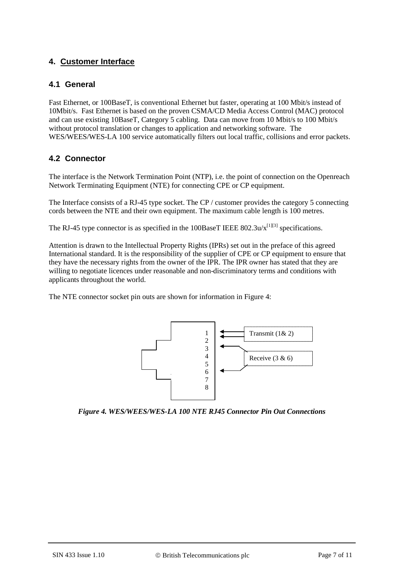# **4. Customer Interface**

#### **4.1 General**

Fast Ethernet, or 100BaseT, is conventional Ethernet but faster, operating at 100 Mbit/s instead of 10Mbit/s. Fast Ethernet is based on the proven CSMA/CD Media Access Control (MAC) protocol and can use existing 10BaseT, Category 5 cabling. Data can move from 10 Mbit/s to 100 Mbit/s without protocol translation or changes to application and networking software. The WES/WEES/WES-LA 100 service automatically filters out local traffic, collisions and error packets.

# **4.2 Connector**

The interface is the Network Termination Point (NTP), i.e. the point of connection on the Openreach Network Terminating Equipment (NTE) for connecting CPE or CP equipment.

The Interface consists of a RJ-45 type socket. The CP / customer provides the category 5 connecting cords between the NTE and their own equipment. The maximum cable length is 100 metres.

The RJ-45 type connector is as specified in the 100BaseT IEEE 802.3u/ $x^{[1][3]}$  specifications.

Attention is drawn to the Intellectual Property Rights (IPRs) set out in the preface of this agreed International standard. It is the responsibility of the supplier of CPE or CP equipment to ensure that they have the necessary rights from the owner of the IPR. The IPR owner has stated that they are willing to negotiate licences under reasonable and non-discriminatory terms and conditions with applicants throughout the world.

The NTE connector socket pin outs are shown for information in [Figure 4:](#page-6-0)



<span id="page-6-0"></span>*Figure 4. WES/WEES/WES-LA 100 NTE RJ45 Connector Pin Out Connections*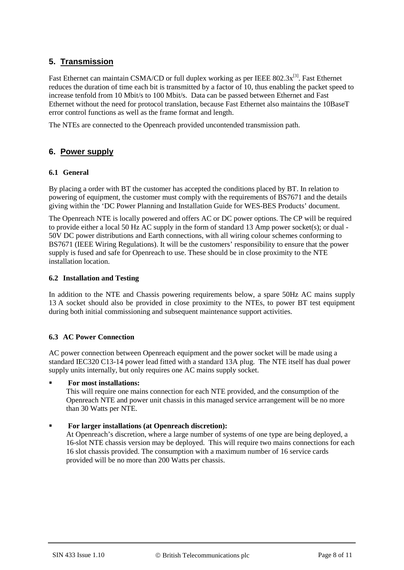# **5. Transmission**

Fast Ethernet can maintain CSMA/CD or full duplex working as per IEEE  $802.3x^{[3]}$ . Fast Ethernet reduces the duration of time each bit is transmitted by a factor of 10, thus enabling the packet speed to increase tenfold from 10 Mbit/s to 100 Mbit/s. Data can be passed between Ethernet and Fast Ethernet without the need for protocol translation, because Fast Ethernet also maintains the 10BaseT error control functions as well as the frame format and length.

The NTEs are connected to the Openreach provided uncontended transmission path.

#### **6. Power supply**

#### **6.1 General**

By placing a order with BT the customer has accepted the conditions placed by BT. In relation to powering of equipment, the customer must comply with the requirements of BS7671 and the details giving within the 'DC Power Planning and Installation Guide for WES-BES Products' document.

The Openreach NTE is locally powered and offers AC or DC power options. The CP will be required to provide either a local 50 Hz AC supply in the form of standard 13 Amp power socket(s); or dual - 50V DC power distributions and Earth connections, with all wiring colour schemes conforming to BS7671 (IEEE Wiring Regulations). It will be the customers' responsibility to ensure that the power supply is fused and safe for Openreach to use. These should be in close proximity to the NTE installation location.

#### **6.2 Installation and Testing**

In addition to the NTE and Chassis powering requirements below, a spare 50Hz AC mains supply 13 A socket should also be provided in close proximity to the NTEs, to power BT test equipment during both initial commissioning and subsequent maintenance support activities.

#### **6.3 AC Power Connection**

AC power connection between Openreach equipment and the power socket will be made using a standard IEC320 C13-14 power lead fitted with a standard 13A plug. The NTE itself has dual power supply units internally, but only requires one AC mains supply socket.

#### **For most installations:**

This will require one mains connection for each NTE provided, and the consumption of the Openreach NTE and power unit chassis in this managed service arrangement will be no more than 30 Watts per NTE.

#### **For larger installations (at Openreach discretion):**

At Openreach's discretion, where a large number of systems of one type are being deployed, a 16-slot NTE chassis version may be deployed. This will require two mains connections for each 16 slot chassis provided. The consumption with a maximum number of 16 service cards provided will be no more than 200 Watts per chassis.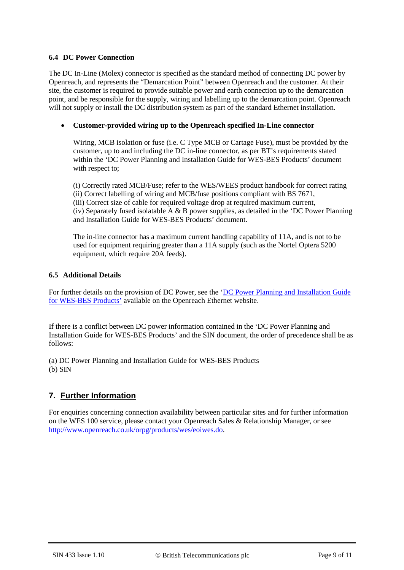#### **6.4 DC Power Connection**

The DC In-Line (Molex) connector is specified as the standard method of connecting DC power by Openreach, and represents the "Demarcation Point" between Openreach and the customer. At their site, the customer is required to provide suitable power and earth connection up to the demarcation point, and be responsible for the supply, wiring and labelling up to the demarcation point. Openreach will not supply or install the DC distribution system as part of the standard Ethernet installation.

#### • **Customer-provided wiring up to the Openreach specified In-Line connector**

Wiring, MCB isolation or fuse (i.e. C Type MCB or Cartage Fuse), must be provided by the customer, up to and including the DC in-line connector, as per BT's requirements stated within the 'DC Power Planning and Installation Guide for WES-BES Products' document with respect to:

(i) Correctly rated MCB/Fuse; refer to the WES/WEES product handbook for correct rating (ii) Correct labelling of wiring and MCB/fuse positions compliant with BS 7671, (iii) Correct size of cable for required voltage drop at required maximum current, (iv) Separately fused isolatable A  $\&$  B power supplies, as detailed in the 'DC Power Planning and Installation Guide for WES-BES Products' document.

The in-line connector has a maximum current handling capability of 11A, and is not to be used for equipment requiring greater than a 11A supply (such as the Nortel Optera 5200 equipment, which require 20A feeds).

#### **6.5 Additional Details**

For further details on the provision of DC Power, see the ['DC Power Planning and Installation Guide](https://www.openreach.co.uk/orpg/home/newlogin.do?smauthreason=0&target=http%3A%2F%2Fwww.openreach.co.uk%2Forpg%2Fcustomerzone%2Fproducts%2Fethernetservices%2Fethernetaccessdirect%2Fdescription%2Fsupplementaryinformation%2Fsupplementaryinfo.do&fromMasterHead=1)  [for WES-BES Products'](https://www.openreach.co.uk/orpg/home/newlogin.do?smauthreason=0&target=http%3A%2F%2Fwww.openreach.co.uk%2Forpg%2Fcustomerzone%2Fproducts%2Fethernetservices%2Fethernetaccessdirect%2Fdescription%2Fsupplementaryinformation%2Fsupplementaryinfo.do&fromMasterHead=1) available on the Openreach Ethernet website.

If there is a conflict between DC power information contained in the 'DC Power Planning and Installation Guide for WES-BES Products' and the SIN document, the order of precedence shall be as follows:

(a) DC Power Planning and Installation Guide for WES-BES Products (b) SIN

# **7. Further Information**

For enquiries concerning connection availability between particular sites and for further information on the WES 100 service, please contact your Openreach Sales & Relationship Manager, or see [http://www.openreach.co.uk/orpg/products/wes/eoiwes.do.](http://www.openreach.co.uk/orpg/products/wes/eoiwes.do)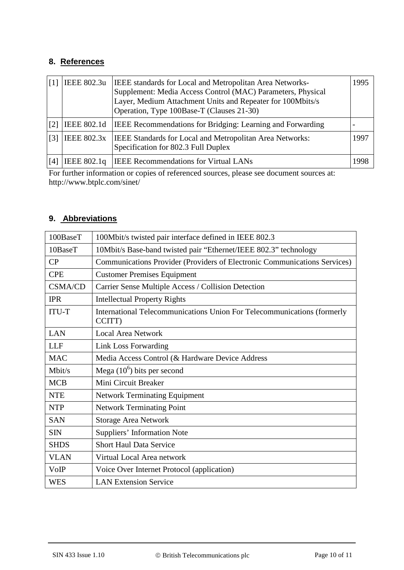# **8. References**

<span id="page-9-1"></span><span id="page-9-0"></span>

|                              | IEEE 802.3u        | IEEE standards for Local and Metropolitan Area Networks-<br>Supplement: Media Access Control (MAC) Parameters, Physical<br>Layer, Medium Attachment Units and Repeater for 100Mbits/s<br>Operation, Type 100Base-T (Clauses 21-30) | 1995 |
|------------------------------|--------------------|------------------------------------------------------------------------------------------------------------------------------------------------------------------------------------------------------------------------------------|------|
| [2]                          | IEEE 802.1d        | <b>IEEE</b> Recommendations for Bridging: Learning and Forwarding                                                                                                                                                                  |      |
| $\left\lceil 3 \right\rceil$ | <b>IEEE 802.3x</b> | <b>IEEE Standards for Local and Metropolitan Area Networks:</b><br>Specification for 802.3 Full Duplex                                                                                                                             | 1997 |
| [4]                          | IEEE 802.1q        | <b>IEEE</b> Recommendations for Virtual LANs                                                                                                                                                                                       | 998  |

<span id="page-9-3"></span><span id="page-9-2"></span>For further information or copies of referenced sources, please see document sources at: http://www.btplc.com/sinet/

# **9. Abbreviations**

| 100BaseT       | 100Mbit/s twisted pair interface defined in IEEE 802.3                            |  |  |
|----------------|-----------------------------------------------------------------------------------|--|--|
| 10BaseT        | 10Mbit/s Base-band twisted pair "Ethernet/IEEE 802.3" technology                  |  |  |
| CP             | Communications Provider (Providers of Electronic Communications Services)         |  |  |
| <b>CPE</b>     | <b>Customer Premises Equipment</b>                                                |  |  |
| <b>CSMA/CD</b> | Carrier Sense Multiple Access / Collision Detection                               |  |  |
| <b>IPR</b>     | <b>Intellectual Property Rights</b>                                               |  |  |
| <b>ITU-T</b>   | International Telecommunications Union For Telecommunications (formerly<br>CCITT) |  |  |
| LAN            | <b>Local Area Network</b>                                                         |  |  |
| <b>LLF</b>     | Link Loss Forwarding                                                              |  |  |
| <b>MAC</b>     | Media Access Control (& Hardware Device Address                                   |  |  |
| Mbit/s         | Mega $(10^6)$ bits per second                                                     |  |  |
| <b>MCB</b>     | Mini Circuit Breaker                                                              |  |  |
| <b>NTE</b>     | <b>Network Terminating Equipment</b>                                              |  |  |
| <b>NTP</b>     | <b>Network Terminating Point</b>                                                  |  |  |
| <b>SAN</b>     | <b>Storage Area Network</b>                                                       |  |  |
| <b>SIN</b>     | Suppliers' Information Note                                                       |  |  |
| <b>SHDS</b>    | <b>Short Haul Data Service</b>                                                    |  |  |
| <b>VLAN</b>    | Virtual Local Area network                                                        |  |  |
| VoIP           | Voice Over Internet Protocol (application)                                        |  |  |
| WES            | <b>LAN Extension Service</b>                                                      |  |  |